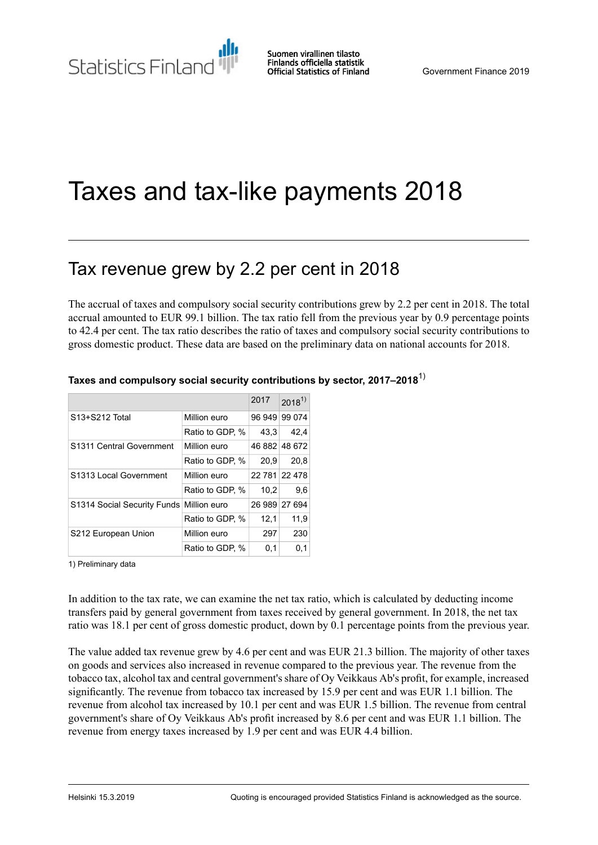Suomen virallinen tilasto Finlands officiella statistik **Official Statistics of Finland** 

# Taxes and tax-like payments 2018

## Tax revenue grew by 2.2 per cent in 2018

The accrual of taxes and compulsory social security contributions grew by 2.2 per cent in 2018. The total accrual amounted to EUR 99.1 billion. The tax ratio fell from the previous year by 0.9 percentage points to 42.4 per cent. The tax ratio describes the ratio of taxes and compulsory social security contributions to gross domestic product. These data are based on the preliminary data on national accounts for 2018.

|                             |                 | 2017          | $2018^{1}$ |
|-----------------------------|-----------------|---------------|------------|
| S13+S212 Total              | Million euro    | 96 949        | 99 0 74    |
|                             | Ratio to GDP, % | 43.3          | 42.4       |
| S1311 Central Government    | Million euro    | 46 882 48 672 |            |
|                             | Ratio to GDP, % | 20,9          | 20.8       |
| S1313 Local Government      | Million euro    | 22 781 22 478 |            |
|                             | Ratio to GDP, % | 10.2          | 9.6        |
| S1314 Social Security Funds | Million euro    | 26 989 27 694 |            |
|                             | Ratio to GDP, % | 12,1          | 11,9       |
| S212 European Union         | Million euro    | 297           | 230        |
|                             | Ratio to GDP, % | 0,1           | 0,1        |

#### **Taxes and compulsory social security contributions by sector, 2017–2018**1)

1) Preliminary data

In addition to the tax rate, we can examine the net tax ratio, which is calculated by deducting income transfers paid by general government from taxes received by general government. In 2018, the net tax ratio was 18.1 per cent of gross domestic product, down by 0.1 percentage points from the previous year.

The value added tax revenue grew by 4.6 per cent and was EUR 21.3 billion. The majority of other taxes on goods and services also increased in revenue compared to the previous year. The revenue from the tobacco tax, alcohol tax and central government's share of Oy Veikkaus Ab's profit, for example, increased significantly. The revenue from tobacco tax increased by 15.9 per cent and was EUR 1.1 billion. The revenue from alcohol tax increased by 10.1 per cent and was EUR 1.5 billion. The revenue from central government's share of Oy Veikkaus Ab's profit increased by 8.6 per cent and was EUR 1.1 billion. The revenue from energy taxes increased by 1.9 per cent and was EUR 4.4 billion.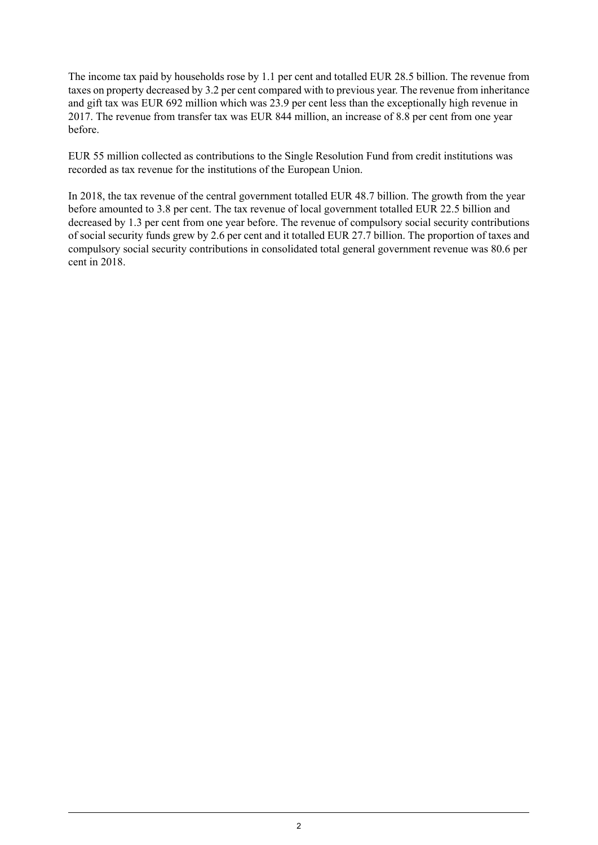The income tax paid by households rose by 1.1 per cent and totalled EUR 28.5 billion. The revenue from taxes on property decreased by 3.2 per cent compared with to previous year. The revenue from inheritance and gift tax was EUR 692 million which was 23.9 per cent less than the exceptionally high revenue in 2017. The revenue from transfer tax was EUR 844 million, an increase of 8.8 per cent from one year before.

EUR 55 million collected as contributions to the Single Resolution Fund from credit institutions was recorded as tax revenue for the institutions of the European Union.

In 2018, the tax revenue of the central government totalled EUR 48.7 billion. The growth from the year before amounted to 3.8 per cent. The tax revenue of local government totalled EUR 22.5 billion and decreased by 1.3 per cent from one year before. The revenue of compulsory social security contributions of social security funds grew by 2.6 per cent and it totalled EUR 27.7 billion. The proportion of taxes and compulsory social security contributions in consolidated total general government revenue was 80.6 per cent in 2018.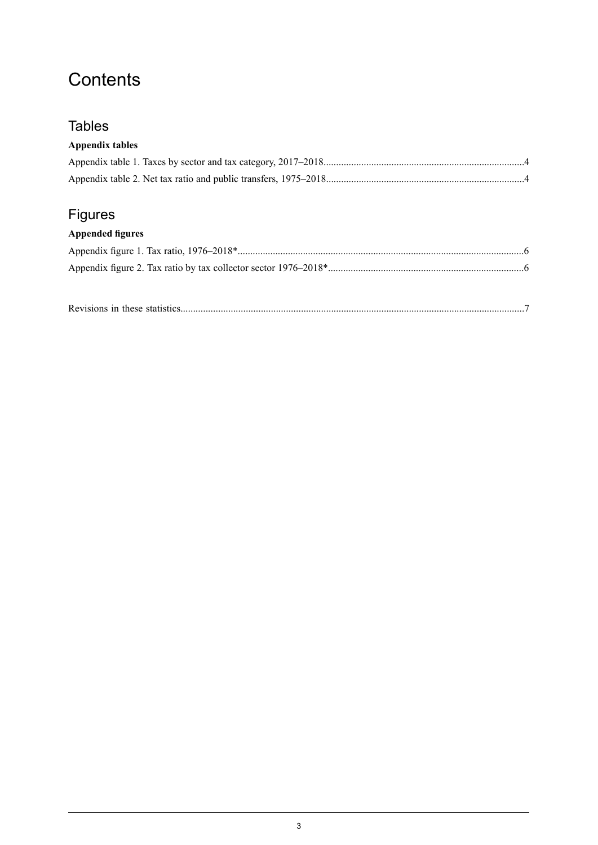## **Contents**

### **Tables**

### **Appendix tables**

## Figures

### **Appended figures**

|--|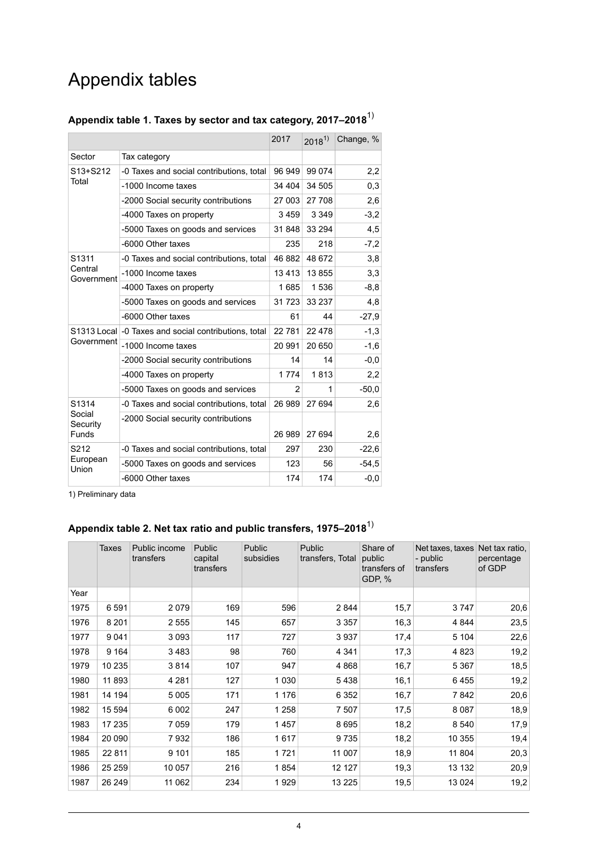## Appendix tables

|                       |                                                      | 2017    | $2018^{1}$ | Change, % |
|-----------------------|------------------------------------------------------|---------|------------|-----------|
| Sector                | Tax category                                         |         |            |           |
| S13+S212<br>Total     | -0 Taxes and social contributions, total             | 96 949  | 99 0 74    | 2,2       |
|                       | -1000 Income taxes<br>34 404                         |         | 34 505     | 0,3       |
|                       | -2000 Social security contributions                  | 27 003  | 27 708     | 2,6       |
|                       | -4000 Taxes on property                              | 3459    | 3 3 4 9    | $-3,2$    |
|                       | -5000 Taxes on goods and services                    | 31 848  | 33 294     | 4,5       |
|                       | -6000 Other taxes                                    | 235     | 218        | $-7,2$    |
| S1311                 | -0 Taxes and social contributions, total             | 46 882  | 48 672     | 3,8       |
| Central<br>Government | -1000 Income taxes                                   | 13413   | 13855      | 3,3       |
|                       | -4000 Taxes on property                              | 1685    | 1536       | $-8.8$    |
|                       | -5000 Taxes on goods and services                    | 31 7 23 | 33 237     | 4,8       |
|                       | -6000 Other taxes                                    | 61      | 44         | $-27.9$   |
|                       | S1313 Local -0 Taxes and social contributions, total | 22 781  | 22 4 78    | $-1,3$    |
| Government            | -1000 Income taxes                                   | 20 991  | 20 650     | $-1,6$    |
|                       | -2000 Social security contributions                  | 14      | 14         | $-0.0$    |
|                       | -4000 Taxes on property                              | 1 7 7 4 | 1813       | 2,2       |
|                       | -5000 Taxes on goods and services                    | 2       | 1          | $-50.0$   |
| S1314                 | -0 Taxes and social contributions, total             | 26 989  | 27 694     | 2,6       |
| Social<br>Security    | -2000 Social security contributions                  |         |            |           |
| Funds                 |                                                      | 26 989  | 27 694     | 2,6       |
| S212                  | -0 Taxes and social contributions, total             | 297     | 230        | $-22,6$   |
| European<br>Union     | -5000 Taxes on goods and services                    | 123     | 56         | $-54,5$   |
|                       | -6000 Other taxes                                    | 174     | 174        | $-0,0$    |

### <span id="page-3-0"></span>**Appendix table 1. Taxes by sector and tax category, 2017–2018**1)

<span id="page-3-1"></span>1) Preliminary data

## **Appendix table 2. Net tax ratio and public transfers, 1975–2018**1)

|      | <b>Taxes</b> | Public income<br>transfers | <b>Public</b><br>capital<br>transfers | Public<br>subsidies | Public<br>Share of<br>transfers, Total<br>public<br>transfers of<br>GDP, % |      | Net taxes, taxes<br>- public<br>transfers | Net tax ratio.<br>percentage<br>of GDP |
|------|--------------|----------------------------|---------------------------------------|---------------------|----------------------------------------------------------------------------|------|-------------------------------------------|----------------------------------------|
| Year |              |                            |                                       |                     |                                                                            |      |                                           |                                        |
| 1975 | 6591         | 2079                       | 169                                   | 596                 | 2844                                                                       | 15,7 | 3747                                      | 20,6                                   |
| 1976 | 8 2 0 1      | 2555                       | 145                                   | 657                 | 3 3 5 7                                                                    | 16,3 | 4 8 4 4                                   | 23,5                                   |
| 1977 | 9041         | 3093                       | 117                                   | 727                 | 3937                                                                       | 17,4 | 5 1 0 4                                   | 22,6                                   |
| 1978 | 9 1 6 4      | 3483                       | 98                                    | 760                 | 4 3 4 1                                                                    | 17,3 | 4 8 2 3                                   | 19,2                                   |
| 1979 | 10 235       | 3814                       | 107                                   | 947                 | 4868                                                                       | 16,7 | 5 3 6 7                                   | 18,5                                   |
| 1980 | 11 893       | 4 2 8 1                    | 127                                   | 1 0 3 0             | 5438                                                                       | 16,1 | 6455                                      | 19,2                                   |
| 1981 | 14 194       | 5 0 0 5                    | 171                                   | 1 1 7 6             | 6 3 5 2                                                                    | 16,7 | 7842                                      | 20,6                                   |
| 1982 | 15 594       | 6 0 0 2                    | 247                                   | 1 258               | 7 507                                                                      | 17,5 | 8 0 8 7                                   | 18,9                                   |
| 1983 | 17 235       | 7059                       | 179                                   | 1457                | 8695                                                                       | 18,2 | 8 5 4 0                                   | 17,9                                   |
| 1984 | 20 090       | 7932                       | 186                                   | 1617                | 9735                                                                       | 18,2 | 10 355                                    | 19,4                                   |
| 1985 | 22 8 11      | 9 1 0 1                    | 185                                   | 1721                | 11 007                                                                     | 18,9 | 11 804                                    | 20,3                                   |
| 1986 | 25 25 9      | 10 057                     | 216                                   | 1854                | 12 127                                                                     | 19,3 | 13 132                                    | 20,9                                   |
| 1987 | 26 249       | 11 062                     | 234                                   | 1929                | 13 2 25                                                                    | 19,5 | 13 0 24                                   | 19,2                                   |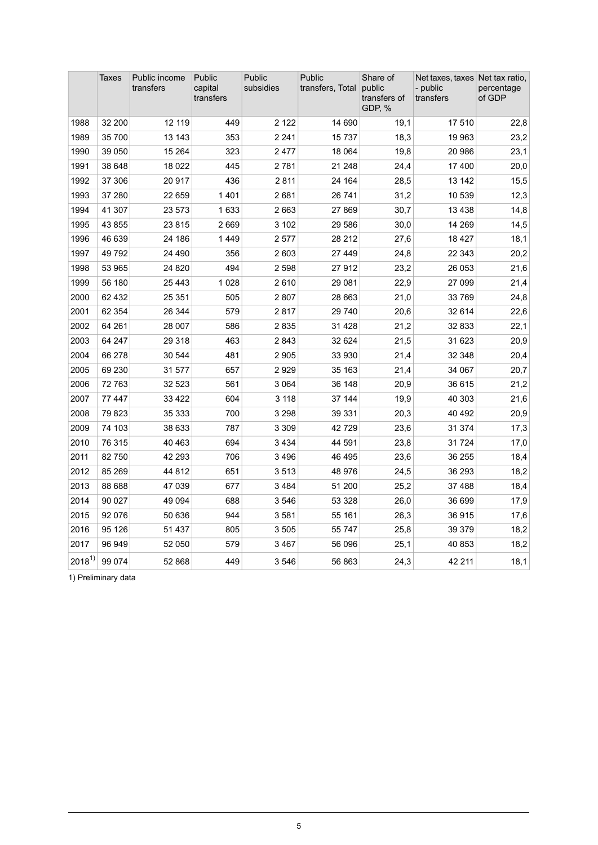|            | Taxes   | Public income<br>transfers | Public<br>capital<br>transfers | Public<br>subsidies | Public<br>Share of<br>public<br>transfers, Total<br>transfers of<br>GDP, % |      | Net taxes, taxes Net tax ratio,<br>- public<br>transfers | percentage<br>of GDP |
|------------|---------|----------------------------|--------------------------------|---------------------|----------------------------------------------------------------------------|------|----------------------------------------------------------|----------------------|
| 1988       | 32 200  | 12 119                     | 449                            | 2 1 2 2             | 14 690                                                                     | 19,1 | 17510                                                    | 22,8                 |
| 1989       | 35 700  | 13 143                     | 353                            | 2 2 4 1             | 15737                                                                      | 18,3 | 19 963                                                   | 23,2                 |
| 1990       | 39 050  | 15 2 64                    | 323                            | 2477                | 18 064                                                                     | 19,8 | 20 986                                                   | 23,1                 |
| 1991       | 38 648  | 18 0 22                    | 445                            | 2781                | 21 248                                                                     | 24,4 | 17 400                                                   | 20,0                 |
| 1992       | 37 30 6 | 20 917                     | 436                            | 2811                | 24 164                                                                     | 28,5 | 13 142                                                   | 15,5                 |
| 1993       | 37 280  | 22 659                     | 1401                           | 2681                | 26 741                                                                     | 31,2 | 10 539                                                   | 12,3                 |
| 1994       | 41 307  | 23 573                     | 1633                           | 2 6 6 3             | 27869                                                                      | 30,7 | 13 4 38                                                  | 14,8                 |
| 1995       | 43 855  | 23 815                     | 2669                           | 3 102               | 29 586                                                                     | 30,0 | 14 269                                                   | 14,5                 |
| 1996       | 46 639  | 24 186                     | 1449                           | 2577                | 28 212                                                                     | 27,6 | 18 4 27                                                  | 18,1                 |
| 1997       | 49792   | 24 490                     | 356                            | 2 603               | 27 449                                                                     | 24,8 | 22 343                                                   | 20,2                 |
| 1998       | 53 965  | 24 8 20                    | 494                            | 2 5 9 8             | 27 912                                                                     | 23,2 | 26 053                                                   | 21,6                 |
| 1999       | 56 180  | 25 4 43                    | 1 0 2 8                        | 2610                | 29 081                                                                     | 22,9 | 27 099                                                   | 21,4                 |
| 2000       | 62 432  | 25 351                     | 505                            | 2807                | 28 663                                                                     | 21,0 | 33 769                                                   | 24,8                 |
| 2001       | 62 354  | 26 344                     | 579                            | 2817                | 29 740                                                                     | 20,6 | 32 614                                                   | 22,6                 |
| 2002       | 64 261  | 28 007                     | 586                            | 2835                | 31 4 28                                                                    | 21,2 | 32 833                                                   | 22,1                 |
| 2003       | 64 247  | 29 318                     | 463                            | 2843                | 32 624                                                                     | 21,5 | 31 623                                                   | 20,9                 |
| 2004       | 66 278  | 30 544                     | 481                            | 2 9 0 5             | 33 930                                                                     | 21,4 | 32 348                                                   | 20,4                 |
| 2005       | 69 230  | 31 577                     | 657                            | 2929                | 35 163                                                                     | 21,4 | 34 067                                                   | 20,7                 |
| 2006       | 72763   | 32 523                     | 561                            | 3 0 6 4             | 36 148                                                                     | 20,9 | 36 615                                                   | 21,2                 |
| 2007       | 77 447  | 33 4 22                    | 604                            | 3 1 1 8             | 37 144                                                                     | 19,9 | 40 303                                                   | 21,6                 |
| 2008       | 79823   | 35 333                     | 700                            | 3 2 9 8             | 39 331                                                                     | 20,3 | 40 492                                                   | 20,9                 |
| 2009       | 74 103  | 38 633                     | 787                            | 3 3 0 9             | 42729                                                                      | 23,6 | 31 374                                                   | 17,3                 |
| 2010       | 76 315  | 40 463                     | 694                            | 3 4 3 4             | 44 591                                                                     | 23,8 | 31 7 24                                                  | 17,0                 |
| 2011       | 82750   | 42 293                     | 706                            | 3496                | 46 495                                                                     | 23,6 | 36 255                                                   | 18,4                 |
| 2012       | 85 269  | 44 812                     | 651                            | 3513                | 48 976                                                                     | 24,5 | 36 293                                                   | 18,2                 |
| 2013       | 88 688  | 47039                      | 677                            | 3484                | 51 200                                                                     | 25,2 | 37 488                                                   | 18,4                 |
| 2014       | 90 027  | 49 0 94                    | 688                            | 3546                | 53 328                                                                     | 26,0 | 36 699                                                   | 17,9                 |
| 2015       | 92 076  | 50 636                     | 944                            | 3581                | 55 161                                                                     | 26,3 | 36 915                                                   | 17,6                 |
| 2016       | 95 126  | 51 437                     | 805                            | 3 5 0 5             | 55 747                                                                     | 25,8 | 39 379                                                   | 18,2                 |
| 2017       | 96 949  | 52 050                     | 579                            | 3467                | 56 096                                                                     | 25,1 | 40 853                                                   | 18,2                 |
| $2018^{1}$ | 99 0 74 | 52 868                     | 449                            | 3546                | 56 863                                                                     | 24,3 | 42 211                                                   | 18,1                 |

1) Preliminary data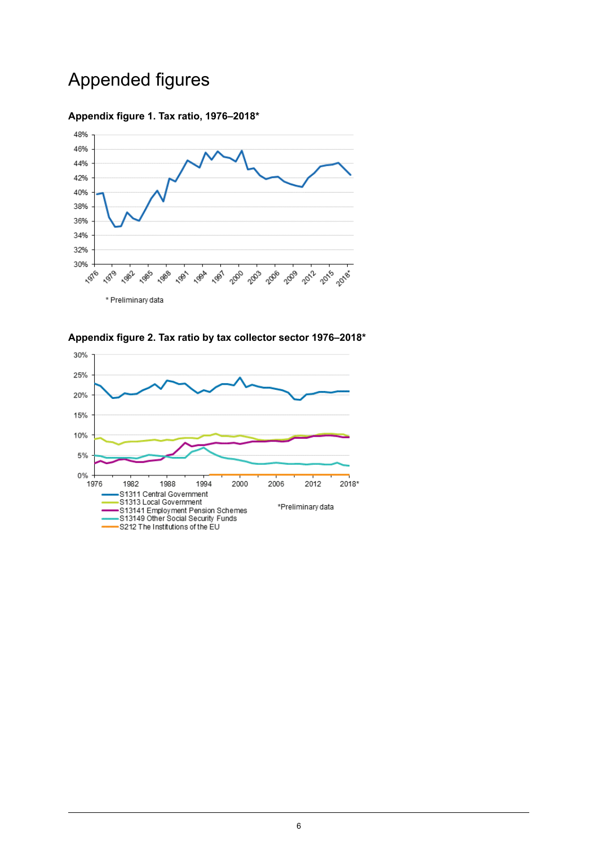## Appended figures

#### <span id="page-5-0"></span>**Appendix figure 1. Tax ratio, 1976–2018\***



<span id="page-5-1"></span>**Appendix figure 2. Tax ratio by tax collector sector 1976–2018\***

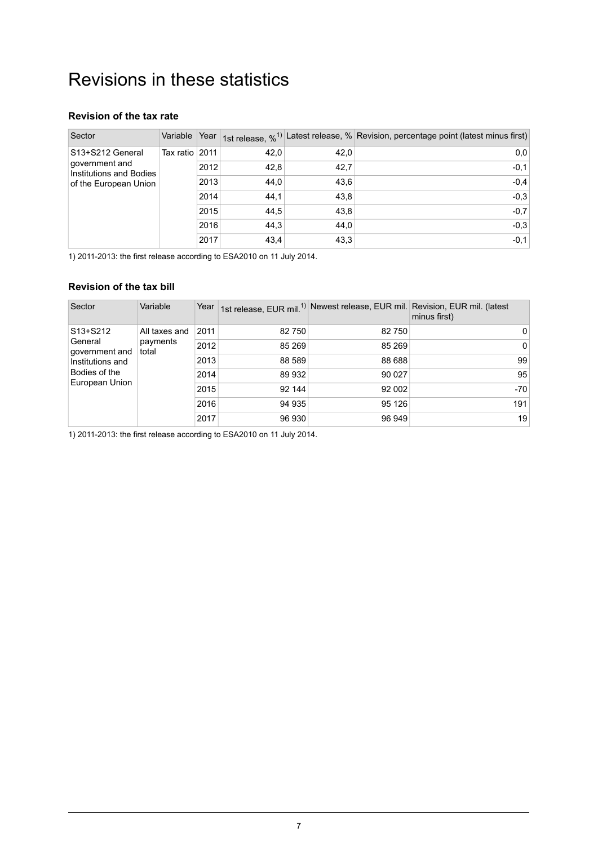## <span id="page-6-0"></span>Revisions in these statistics

#### **Revision of the tax rate**

| Sector                                    | Variable         | Year |      |      | 1st release, % <sup>1)</sup> Latest release, % Revision, percentage point (latest minus first) |
|-------------------------------------------|------------------|------|------|------|------------------------------------------------------------------------------------------------|
| S13+S212 General                          | Tax ratio l 2011 |      | 42,0 | 42.0 | 0,0                                                                                            |
| government and<br>Institutions and Bodies |                  | 2012 | 42,8 | 42,7 | $-0,1$                                                                                         |
| of the European Union                     |                  | 2013 | 44,0 | 43.6 | $-0.4$                                                                                         |
|                                           |                  | 2014 | 44,1 | 43.8 | $-0,3$                                                                                         |
|                                           |                  | 2015 | 44,5 | 43,8 | $-0,7$                                                                                         |
|                                           |                  | 2016 | 44,3 | 44.0 | $-0,3$                                                                                         |
|                                           |                  | 2017 | 43.4 | 43,3 | $-0,1$                                                                                         |

1) 2011-2013: the first release according to ESA2010 on 11 July 2014.

#### **Revision of the tax bill**

| Sector                                                    | Variable                           | Year |        |        | 1st release, EUR mil. <sup>1)</sup> Newest release, EUR mil. Revision, EUR mil. (latest<br>minus first) |
|-----------------------------------------------------------|------------------------------------|------|--------|--------|---------------------------------------------------------------------------------------------------------|
| S13+S212<br>General<br>government and<br>Institutions and | All taxes and<br>payments<br>total | 2011 | 82 750 | 82 750 | 0                                                                                                       |
|                                                           |                                    | 2012 | 85 269 | 85 269 | 0                                                                                                       |
|                                                           |                                    | 2013 | 88 589 | 88 688 | 99                                                                                                      |
| Bodies of the                                             |                                    | 2014 | 89 932 | 90 027 | 95                                                                                                      |
| European Union                                            |                                    | 2015 | 92 144 | 92 002 | $-70$                                                                                                   |
|                                                           |                                    | 2016 | 94 935 | 95 126 | 191                                                                                                     |
|                                                           |                                    | 2017 | 96 930 | 96 949 | 19                                                                                                      |

1) 2011-2013: the first release according to ESA2010 on 11 July 2014.